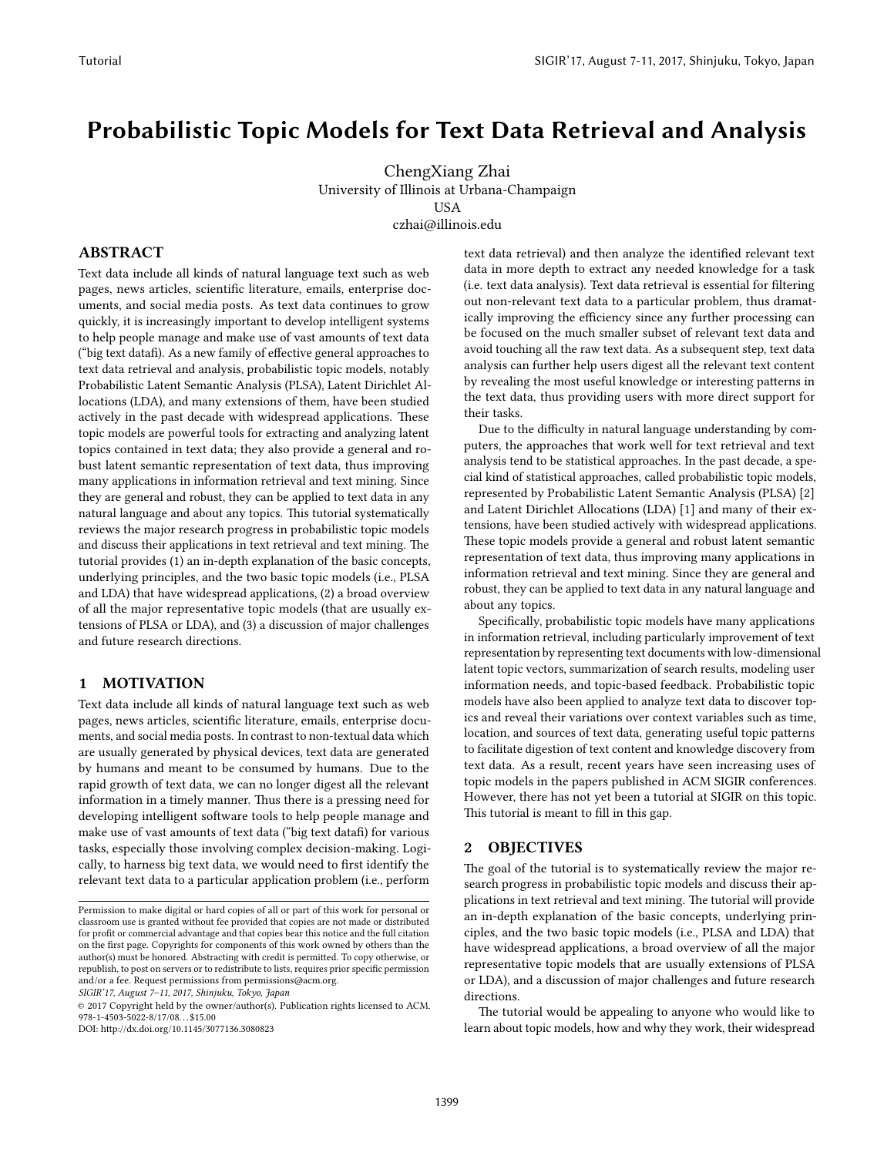# Probabilistic Topic Models for Text Data Retrieval and Analysis

ChengXiang Zhai University of Illinois at Urbana-Champaign USA czhai@illinois.edu

# ABSTRACT

Text data include all kinds of natural language text such as web pages, news articles, scientific literature, emails, enterprise documents, and social media posts. As text data continues to grow quickly, it is increasingly important to develop intelligent systems to help people manage and make use of vast amounts of text data ("big text datafi). As a new family of effective general approaches to text data retrieval and analysis, probabilistic topic models, notably Probabilistic Latent Semantic Analysis (PLSA), Latent Dirichlet Allocations (LDA), and many extensions of them, have been studied actively in the past decade with widespread applications. These topic models are powerful tools for extracting and analyzing latent topics contained in text data; they also provide a general and robust latent semantic representation of text data, thus improving many applications in information retrieval and text mining. Since they are general and robust, they can be applied to text data in any natural language and about any topics. This tutorial systematically reviews the major research progress in probabilistic topic models and discuss their applications in text retrieval and text mining. The tutorial provides (1) an in-depth explanation of the basic concepts, underlying principles, and the two basic topic models (i.e., PLSA and LDA) that have widespread applications, (2) a broad overview of all the major representative topic models (that are usually extensions of PLSA or LDA), and (3) a discussion of major challenges and future research directions.

# 1 MOTIVATION

Text data include all kinds of natural language text such as web pages, news articles, scientific literature, emails, enterprise documents, and social media posts. In contrast to non-textual data which are usually generated by physical devices, text data are generated by humans and meant to be consumed by humans. Due to the rapid growth of text data, we can no longer digest all the relevant information in a timely manner. Thus there is a pressing need for developing intelligent software tools to help people manage and make use of vast amounts of text data ("big text datafi) for various tasks, especially those involving complex decision-making. Logically, to harness big text data, we would need to first identify the relevant text data to a particular application problem (i.e., perform

SIGIR'17, August 7–11, 2017, Shinjuku, Tokyo, Japan

© 2017 Copyright held by the owner/author(s). Publication rights licensed to ACM.  $978 - 1 - 4503 - 5022 - 8/17/08$ .  $\therefore$  \$15.00

DOI: http://dx.doi.org/10.1145/3077136.3080823

text data retrieval) and then analyze the identified relevant text data in more depth to extract any needed knowledge for a task (i.e. text data analysis). Text data retrieval is essential for filtering out non-relevant text data to a particular problem, thus dramatically improving the efficiency since any further processing can be focused on the much smaller subset of relevant text data and avoid touching all the raw text data. As a subsequent step, text data analysis can further help users digest all the relevant text content by revealing the most useful knowledge or interesting patterns in the text data, thus providing users with more direct support for their tasks.

Due to the difficulty in natural language understanding by computers, the approaches that work well for text retrieval and text analysis tend to be statistical approaches. In the past decade, a special kind of statistical approaches, called probabilistic topic models, represented by Probabilistic Latent Semantic Analysis (PLSA) [\[2\]](#page-2-0) and Latent Dirichlet Allocations (LDA) [\[1\]](#page-2-1) and many of their extensions, have been studied actively with widespread applications. These topic models provide a general and robust latent semantic representation of text data, thus improving many applications in information retrieval and text mining. Since they are general and robust, they can be applied to text data in any natural language and about any topics.

Specifically, probabilistic topic models have many applications in information retrieval, including particularly improvement of text representation by representing text documents with low-dimensional latent topic vectors, summarization of search results, modeling user information needs, and topic-based feedback. Probabilistic topic models have also been applied to analyze text data to discover topics and reveal their variations over context variables such as time, location, and sources of text data, generating useful topic patterns to facilitate digestion of text content and knowledge discovery from text data. As a result, recent years have seen increasing uses of topic models in the papers published in ACM SIGIR conferences. However, there has not yet been a tutorial at SIGIR on this topic. This tutorial is meant to fill in this gap.

#### 2 OBJECTIVES

The goal of the tutorial is to systematically review the major research progress in probabilistic topic models and discuss their applications in text retrieval and text mining. The tutorial will provide an in-depth explanation of the basic concepts, underlying principles, and the two basic topic models (i.e., PLSA and LDA) that have widespread applications, a broad overview of all the major representative topic models that are usually extensions of PLSA or LDA), and a discussion of major challenges and future research directions.

The tutorial would be appealing to anyone who would like to learn about topic models, how and why they work, their widespread

Permission to make digital or hard copies of all or part of this work for personal or classroom use is granted without fee provided that copies are not made or distributed for profit or commercial advantage and that copies bear this notice and the full citation on the first page. Copyrights for components of this work owned by others than the author(s) must be honored. Abstracting with credit is permitted. To copy otherwise, or republish, to post on servers or to redistribute to lists, requires prior specific permission and/or a fee. Request permissions from permissions@acm.org.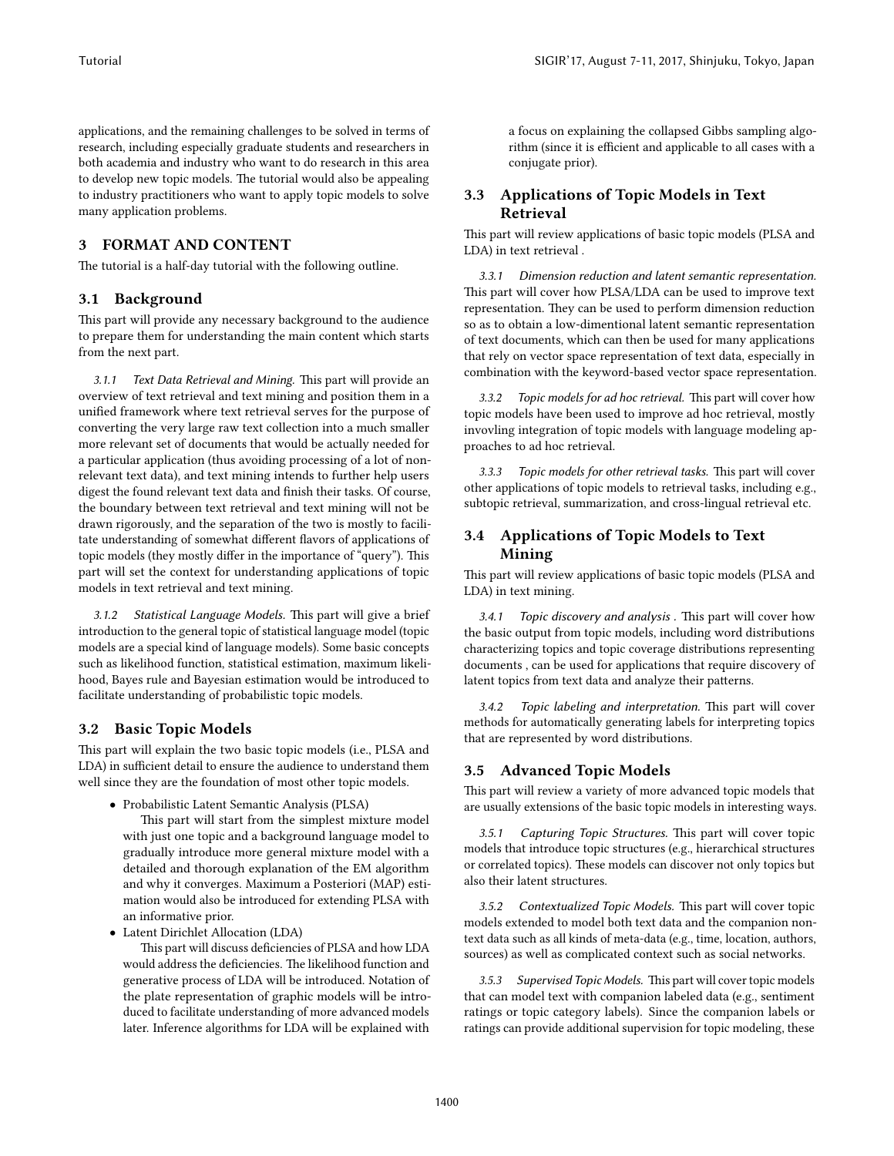applications, and the remaining challenges to be solved in terms of research, including especially graduate students and researchers in both academia and industry who want to do research in this area to develop new topic models. The tutorial would also be appealing to industry practitioners who want to apply topic models to solve many application problems.

# 3 FORMAT AND CONTENT

The tutorial is a half-day tutorial with the following outline.

### 3.1 Background

This part will provide any necessary background to the audience to prepare them for understanding the main content which starts from the next part.

3.1.1 Text Data Retrieval and Mining. This part will provide an overview of text retrieval and text mining and position them in a unified framework where text retrieval serves for the purpose of converting the very large raw text collection into a much smaller more relevant set of documents that would be actually needed for a particular application (thus avoiding processing of a lot of nonrelevant text data), and text mining intends to further help users digest the found relevant text data and finish their tasks. Of course, the boundary between text retrieval and text mining will not be drawn rigorously, and the separation of the two is mostly to facilitate understanding of somewhat different flavors of applications of topic models (they mostly differ in the importance of "query"). This part will set the context for understanding applications of topic models in text retrieval and text mining.

3.1.2 Statistical Language Models. This part will give a brief introduction to the general topic of statistical language model (topic models are a special kind of language models). Some basic concepts such as likelihood function, statistical estimation, maximum likelihood, Bayes rule and Bayesian estimation would be introduced to facilitate understanding of probabilistic topic models.

#### 3.2 Basic Topic Models

This part will explain the two basic topic models (i.e., PLSA and LDA) in sufficient detail to ensure the audience to understand them well since they are the foundation of most other topic models.

• Probabilistic Latent Semantic Analysis (PLSA)

This part will start from the simplest mixture model with just one topic and a background language model to gradually introduce more general mixture model with a detailed and thorough explanation of the EM algorithm and why it converges. Maximum a Posteriori (MAP) estimation would also be introduced for extending PLSA with an informative prior.

• Latent Dirichlet Allocation (LDA)

This part will discuss deficiencies of PLSA and how LDA would address the deficiencies. The likelihood function and generative process of LDA will be introduced. Notation of the plate representation of graphic models will be introduced to facilitate understanding of more advanced models later. Inference algorithms for LDA will be explained with

a focus on explaining the collapsed Gibbs sampling algorithm (since it is efficient and applicable to all cases with a conjugate prior).

# 3.3 Applications of Topic Models in Text Retrieval

This part will review applications of basic topic models (PLSA and LDA) in text retrieval .

3.3.1 Dimension reduction and latent semantic representation. This part will cover how PLSA/LDA can be used to improve text representation. They can be used to perform dimension reduction so as to obtain a low-dimentional latent semantic representation of text documents, which can then be used for many applications that rely on vector space representation of text data, especially in combination with the keyword-based vector space representation.

3.3.2 Topic models for ad hoc retrieval. This part will cover how topic models have been used to improve ad hoc retrieval, mostly invovling integration of topic models with language modeling approaches to ad hoc retrieval.

3.3.3 Topic models for other retrieval tasks. This part will cover other applications of topic models to retrieval tasks, including e.g., subtopic retrieval, summarization, and cross-lingual retrieval etc.

# 3.4 Applications of Topic Models to Text Mining

This part will review applications of basic topic models (PLSA and LDA) in text mining.

3.4.1 Topic discovery and analysis . This part will cover how the basic output from topic models, including word distributions characterizing topics and topic coverage distributions representing documents , can be used for applications that require discovery of latent topics from text data and analyze their patterns.

3.4.2 Topic labeling and interpretation. This part will cover methods for automatically generating labels for interpreting topics that are represented by word distributions.

# 3.5 Advanced Topic Models

This part will review a variety of more advanced topic models that are usually extensions of the basic topic models in interesting ways.

3.5.1 Capturing Topic Structures. This part will cover topic models that introduce topic structures (e.g., hierarchical structures or correlated topics). These models can discover not only topics but also their latent structures.

3.5.2 Contextualized Topic Models. This part will cover topic models extended to model both text data and the companion nontext data such as all kinds of meta-data (e.g., time, location, authors, sources) as well as complicated context such as social networks.

3.5.3 Supervised Topic Models. This part will cover topic models that can model text with companion labeled data (e.g., sentiment ratings or topic category labels). Since the companion labels or ratings can provide additional supervision for topic modeling, these